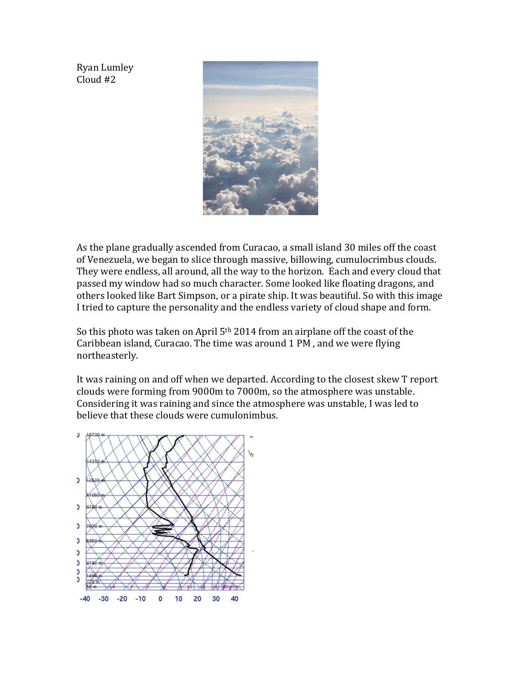Ryan Lumley Cloud #2



As the plane gradually ascended from Curacao, a small island 30 miles off the coast of Venezuela, we began to slice through massive, billowing, cumulocrimbus clouds. They were endless, all around, all the way to the horizon. Each and every cloud that passed my window had so much character. Some looked like floating dragons, and others looked like Bart Simpson, or a pirate ship. It was beautiful. So with this image I tried to capture the personality and the endless variety of cloud shape and form.

So this photo was taken on April 5<sup>th</sup> 2014 from an airplane off the coast of the Caribbean island, Curacao. The time was around 1 PM , and we were flying northeasterly.

It was raining on and off when we departed. According to the closest skew T report clouds were forming from 9000m to 7000m, so the atmosphere was unstable. Considering it was raining and since the atmosphere was unstable, I was led to believe that these clouds were cumulonimbus.